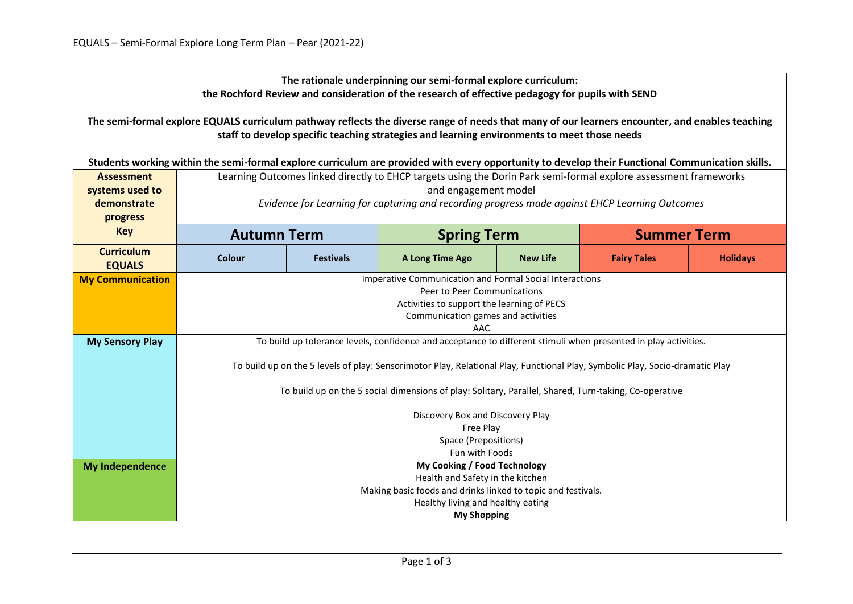| The rationale underpinning our semi-formal explore curriculum:<br>the Rochford Review and consideration of the research of effective pedagogy for pupils with SEND                                                                             |                                                                                                                              |                  |                              |                 |                    |                 |  |  |  |
|------------------------------------------------------------------------------------------------------------------------------------------------------------------------------------------------------------------------------------------------|------------------------------------------------------------------------------------------------------------------------------|------------------|------------------------------|-----------------|--------------------|-----------------|--|--|--|
| The semi-formal explore EQUALS curriculum pathway reflects the diverse range of needs that many of our learners encounter, and enables teaching<br>staff to develop specific teaching strategies and learning environments to meet those needs |                                                                                                                              |                  |                              |                 |                    |                 |  |  |  |
| Students working within the semi-formal explore curriculum are provided with every opportunity to develop their Functional Communication skills.                                                                                               |                                                                                                                              |                  |                              |                 |                    |                 |  |  |  |
| <b>Assessment</b>                                                                                                                                                                                                                              | Learning Outcomes linked directly to EHCP targets using the Dorin Park semi-formal explore assessment frameworks             |                  |                              |                 |                    |                 |  |  |  |
| systems used to                                                                                                                                                                                                                                | and engagement model                                                                                                         |                  |                              |                 |                    |                 |  |  |  |
| demonstrate                                                                                                                                                                                                                                    | Evidence for Learning for capturing and recording progress made against EHCP Learning Outcomes                               |                  |                              |                 |                    |                 |  |  |  |
| progress                                                                                                                                                                                                                                       |                                                                                                                              |                  |                              |                 |                    |                 |  |  |  |
| <b>Key</b>                                                                                                                                                                                                                                     | <b>Autumn Term</b>                                                                                                           |                  | <b>Spring Term</b>           |                 | <b>Summer Term</b> |                 |  |  |  |
| <b>Curriculum</b><br><b>EQUALS</b>                                                                                                                                                                                                             | <b>Colour</b>                                                                                                                | <b>Festivals</b> | A Long Time Ago              | <b>New Life</b> | <b>Fairy Tales</b> | <b>Holidays</b> |  |  |  |
| <b>My Communication</b>                                                                                                                                                                                                                        | Imperative Communication and Formal Social Interactions                                                                      |                  |                              |                 |                    |                 |  |  |  |
|                                                                                                                                                                                                                                                | Peer to Peer Communications                                                                                                  |                  |                              |                 |                    |                 |  |  |  |
|                                                                                                                                                                                                                                                | Activities to support the learning of PECS<br>Communication games and activities                                             |                  |                              |                 |                    |                 |  |  |  |
|                                                                                                                                                                                                                                                | AAC                                                                                                                          |                  |                              |                 |                    |                 |  |  |  |
| <b>My Sensory Play</b>                                                                                                                                                                                                                         | To build up tolerance levels, confidence and acceptance to different stimuli when presented in play activities.              |                  |                              |                 |                    |                 |  |  |  |
|                                                                                                                                                                                                                                                |                                                                                                                              |                  |                              |                 |                    |                 |  |  |  |
|                                                                                                                                                                                                                                                | To build up on the 5 levels of play: Sensorimotor Play, Relational Play, Functional Play, Symbolic Play, Socio-dramatic Play |                  |                              |                 |                    |                 |  |  |  |
|                                                                                                                                                                                                                                                | To build up on the 5 social dimensions of play: Solitary, Parallel, Shared, Turn-taking, Co-operative                        |                  |                              |                 |                    |                 |  |  |  |
|                                                                                                                                                                                                                                                | Discovery Box and Discovery Play                                                                                             |                  |                              |                 |                    |                 |  |  |  |
|                                                                                                                                                                                                                                                | Free Play                                                                                                                    |                  |                              |                 |                    |                 |  |  |  |
|                                                                                                                                                                                                                                                | Space (Prepositions)                                                                                                         |                  |                              |                 |                    |                 |  |  |  |
|                                                                                                                                                                                                                                                | Fun with Foods                                                                                                               |                  |                              |                 |                    |                 |  |  |  |
| <b>My Independence</b>                                                                                                                                                                                                                         |                                                                                                                              |                  | My Cooking / Food Technology |                 |                    |                 |  |  |  |
|                                                                                                                                                                                                                                                | Health and Safety in the kitchen<br>Making basic foods and drinks linked to topic and festivals.                             |                  |                              |                 |                    |                 |  |  |  |
|                                                                                                                                                                                                                                                | Healthy living and healthy eating                                                                                            |                  |                              |                 |                    |                 |  |  |  |
|                                                                                                                                                                                                                                                | <b>My Shopping</b>                                                                                                           |                  |                              |                 |                    |                 |  |  |  |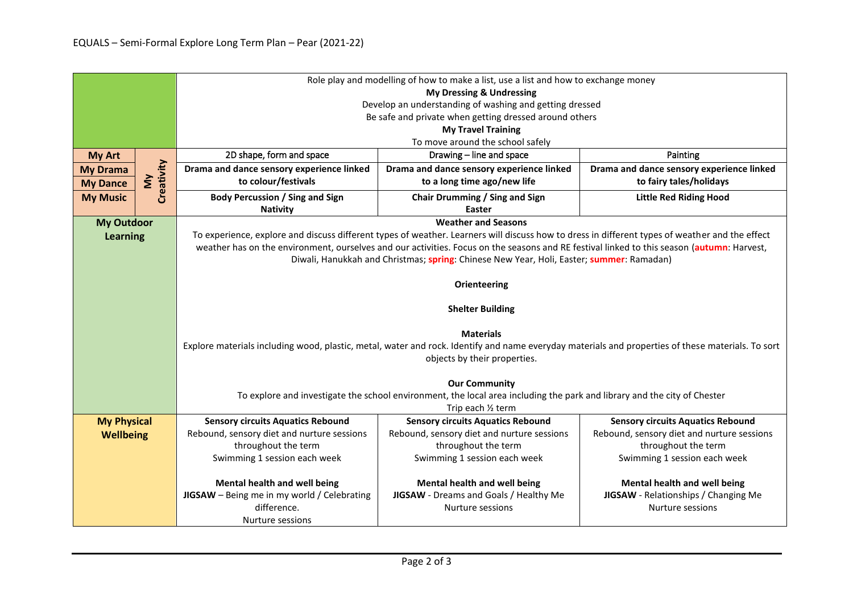|                    |                                                                                                                          | Role play and modelling of how to make a list, use a list and how to exchange money                                                                                   |                                            |                                            |  |  |  |  |
|--------------------|--------------------------------------------------------------------------------------------------------------------------|-----------------------------------------------------------------------------------------------------------------------------------------------------------------------|--------------------------------------------|--------------------------------------------|--|--|--|--|
|                    |                                                                                                                          | <b>My Dressing &amp; Undressing</b>                                                                                                                                   |                                            |                                            |  |  |  |  |
|                    |                                                                                                                          | Develop an understanding of washing and getting dressed                                                                                                               |                                            |                                            |  |  |  |  |
|                    |                                                                                                                          | Be safe and private when getting dressed around others                                                                                                                |                                            |                                            |  |  |  |  |
|                    |                                                                                                                          | <b>My Travel Training</b>                                                                                                                                             |                                            |                                            |  |  |  |  |
|                    |                                                                                                                          | To move around the school safely                                                                                                                                      |                                            |                                            |  |  |  |  |
| <b>My Art</b>      |                                                                                                                          | 2D shape, form and space                                                                                                                                              | Drawing - line and space                   | Painting                                   |  |  |  |  |
| <b>My Drama</b>    |                                                                                                                          | Drama and dance sensory experience linked                                                                                                                             | Drama and dance sensory experience linked  | Drama and dance sensory experience linked  |  |  |  |  |
| <b>My Dance</b>    | Creativity<br>$\sum_{i=1}^{n}$                                                                                           | to colour/festivals                                                                                                                                                   | to a long time ago/new life                | to fairy tales/holidays                    |  |  |  |  |
| <b>My Music</b>    |                                                                                                                          | <b>Body Percussion / Sing and Sign</b>                                                                                                                                | Chair Drumming / Sing and Sign             | <b>Little Red Riding Hood</b>              |  |  |  |  |
|                    |                                                                                                                          | <b>Nativity</b>                                                                                                                                                       | Easter                                     |                                            |  |  |  |  |
| <b>My Outdoor</b>  |                                                                                                                          | <b>Weather and Seasons</b>                                                                                                                                            |                                            |                                            |  |  |  |  |
| <b>Learning</b>    |                                                                                                                          | To experience, explore and discuss different types of weather. Learners will discuss how to dress in different types of weather and the effect                        |                                            |                                            |  |  |  |  |
|                    |                                                                                                                          | weather has on the environment, ourselves and our activities. Focus on the seasons and RE festival linked to this season (autumn: Harvest,                            |                                            |                                            |  |  |  |  |
|                    |                                                                                                                          | Diwali, Hanukkah and Christmas; spring: Chinese New Year, Holi, Easter; summer: Ramadan)                                                                              |                                            |                                            |  |  |  |  |
|                    |                                                                                                                          |                                                                                                                                                                       |                                            |                                            |  |  |  |  |
|                    |                                                                                                                          |                                                                                                                                                                       | Orienteering                               |                                            |  |  |  |  |
|                    |                                                                                                                          |                                                                                                                                                                       |                                            |                                            |  |  |  |  |
|                    |                                                                                                                          |                                                                                                                                                                       | <b>Shelter Building</b>                    |                                            |  |  |  |  |
|                    |                                                                                                                          |                                                                                                                                                                       |                                            |                                            |  |  |  |  |
|                    |                                                                                                                          | <b>Materials</b><br>Explore materials including wood, plastic, metal, water and rock. Identify and name everyday materials and properties of these materials. To sort |                                            |                                            |  |  |  |  |
|                    |                                                                                                                          | objects by their properties.                                                                                                                                          |                                            |                                            |  |  |  |  |
|                    |                                                                                                                          |                                                                                                                                                                       |                                            |                                            |  |  |  |  |
|                    | <b>Our Community</b>                                                                                                     |                                                                                                                                                                       |                                            |                                            |  |  |  |  |
|                    | To explore and investigate the school environment, the local area including the park and library and the city of Chester |                                                                                                                                                                       |                                            |                                            |  |  |  |  |
|                    |                                                                                                                          | Trip each 1/2 term                                                                                                                                                    |                                            |                                            |  |  |  |  |
| <b>My Physical</b> |                                                                                                                          | <b>Sensory circuits Aquatics Rebound</b>                                                                                                                              | <b>Sensory circuits Aquatics Rebound</b>   | <b>Sensory circuits Aquatics Rebound</b>   |  |  |  |  |
| Wellbeing          |                                                                                                                          | Rebound, sensory diet and nurture sessions                                                                                                                            | Rebound, sensory diet and nurture sessions | Rebound, sensory diet and nurture sessions |  |  |  |  |
|                    |                                                                                                                          | throughout the term                                                                                                                                                   | throughout the term                        | throughout the term                        |  |  |  |  |
|                    |                                                                                                                          | Swimming 1 session each week                                                                                                                                          | Swimming 1 session each week               | Swimming 1 session each week               |  |  |  |  |
|                    |                                                                                                                          |                                                                                                                                                                       |                                            |                                            |  |  |  |  |
|                    |                                                                                                                          | Mental health and well being                                                                                                                                          | Mental health and well being               | Mental health and well being               |  |  |  |  |
|                    |                                                                                                                          | JIGSAW - Being me in my world / Celebrating                                                                                                                           | JIGSAW - Dreams and Goals / Healthy Me     | JIGSAW - Relationships / Changing Me       |  |  |  |  |
|                    |                                                                                                                          | difference.<br>Nurture sessions<br>Nurture sessions                                                                                                                   |                                            |                                            |  |  |  |  |
|                    |                                                                                                                          | Nurture sessions                                                                                                                                                      |                                            |                                            |  |  |  |  |